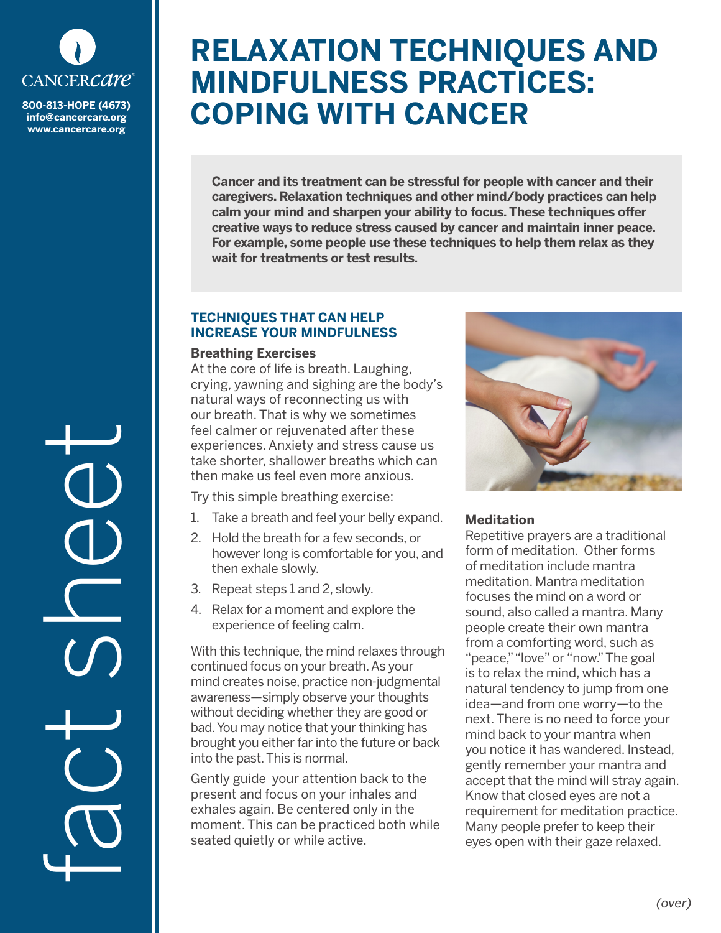

**info@cancercare.org www.cancercare.org**

fact see

# **RELAXATION TECHNIQUES AND MINDFULNESS PRACTICES: BOO-813-HOPE (4673) COPING WITH CANCER**

**Cancer and its treatment can be stressful for people with cancer and their caregivers. Relaxation techniques and other mind/body practices can help calm your mind and sharpen your ability to focus. These techniques offer creative ways to reduce stress caused by cancer and maintain inner peace. For example, some people use these techniques to help them relax as they wait for treatments or test results.**

## **TECHNIQUES THAT CAN HELP INCREASE YOUR MINDFULNESS**

#### **Breathing Exercises**

At the core of life is breath. Laughing, crying, yawning and sighing are the body's natural ways of reconnecting us with our breath. That is why we sometimes feel calmer or rejuvenated after these experiences. Anxiety and stress cause us take shorter, shallower breaths which can then make us feel even more anxious.

Try this simple breathing exercise:

- 1. Take a breath and feel your belly expand.
- 2. Hold the breath for a few seconds, or however long is comfortable for you, and then exhale slowly.
- 3. Repeat steps 1 and 2, slowly.
- 4. Relax for a moment and explore the experience of feeling calm.

With this technique, the mind relaxes through continued focus on your breath. As your mind creates noise, practice non-judgmental awareness—simply observe your thoughts without deciding whether they are good or bad. You may notice that your thinking has brought you either far into the future or back into the past. This is normal.

Gently guide your attention back to the present and focus on your inhales and exhales again. Be centered only in the moment. This can be practiced both while seated quietly or while active.



# **Meditation**

Repetitive prayers are a traditional form of meditation. Other forms of meditation include mantra meditation. Mantra meditation focuses the mind on a word or sound, also called a mantra. Many people create their own mantra from a comforting word, such as "peace," "love" or "now." The goal is to relax the mind, which has a natural tendency to jump from one idea—and from one worry—to the next. There is no need to force your mind back to your mantra when you notice it has wandered. Instead, gently remember your mantra and accept that the mind will stray again. Know that closed eyes are not a requirement for meditation practice. Many people prefer to keep their eyes open with their gaze relaxed.